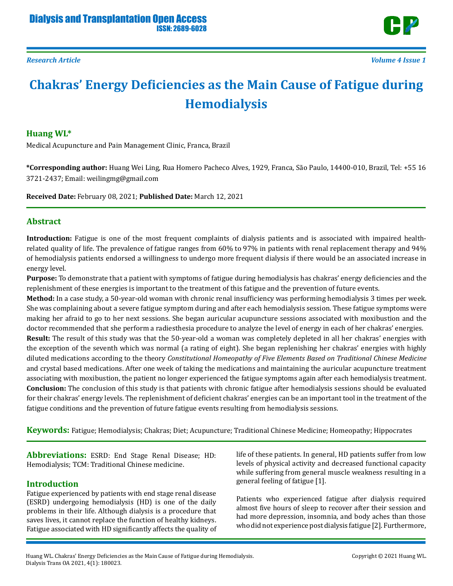

# **Chakras' Energy Deficiencies as the Main Cause of Fatigue during Hemodialysis**

#### **Huang WL\***

Medical Acupuncture and Pain Management Clinic, Franca, Brazil

**\*Corresponding author:** Huang Wei Ling, Rua Homero Pacheco Alves, 1929, Franca, São Paulo, 14400-010, Brazil, Tel: +55 16 3721-2437; Email: weilingmg@gmail.com

**Received Date:** February 08, 2021; **Published Date:** March 12, 2021

#### **Abstract**

**Introduction:** Fatigue is one of the most frequent complaints of dialysis patients and is associated with impaired healthrelated quality of life. The prevalence of fatigue ranges from 60% to 97% in patients with renal replacement therapy and 94% of hemodialysis patients endorsed a willingness to undergo more frequent dialysis if there would be an associated increase in energy level.

**Purpose:** To demonstrate that a patient with symptoms of fatigue during hemodialysis has chakras' energy deficiencies and the replenishment of these energies is important to the treatment of this fatigue and the prevention of future events.

**Method:** In a case study, a 50-year-old woman with chronic renal insufficiency was performing hemodialysis 3 times per week. She was complaining about a severe fatigue symptom during and after each hemodialysis session. These fatigue symptoms were making her afraid to go to her next sessions. She began auricular acupuncture sessions associated with moxibustion and the doctor recommended that she perform a radiesthesia procedure to analyze the level of energy in each of her chakras' energies. **Result:** The result of this study was that the 50-year-old a woman was completely depleted in all her chakras' energies with the exception of the seventh which was normal (a rating of eight). She began replenishing her chakras' energies with highly diluted medications according to the theory *Constitutional Homeopathy of Five Elements Based on Traditional Chinese Medicine* and crystal based medications. After one week of taking the medications and maintaining the auricular acupuncture treatment associating with moxibustion, the patient no longer experienced the fatigue symptoms again after each hemodialysis treatment. **Conclusion:** The conclusion of this study is that patients with chronic fatigue after hemodialysis sessions should be evaluated for their chakras' energy levels. The replenishment of deficient chakras' energies can be an important tool in the treatment of the fatigue conditions and the prevention of future fatigue events resulting from hemodialysis sessions.

**Keywords:** Fatigue; Hemodialysis; Chakras; Diet; Acupuncture; Traditional Chinese Medicine; Homeopathy; Hippocrates

**Abbreviations:** ESRD: End Stage Renal Disease; HD: Hemodialysis; TCM: Traditional Chinese medicine.

#### **Introduction**

Fatigue experienced by patients with end stage renal disease (ESRD) undergoing hemodialysis (HD) is one of the daily problems in their life. Although dialysis is a procedure that saves lives, it cannot replace the function of healthy kidneys. Fatigue associated with HD significantly affects the quality of life of these patients. In general, HD patients suffer from low levels of physical activity and decreased functional capacity while suffering from general muscle weakness resulting in a general feeling of fatigue [1].

Patients who experienced fatigue after dialysis required almost five hours of sleep to recover after their session and had more depression, insomnia, and body aches than those who did not experience post dialysis fatigue [2]. Furthermore,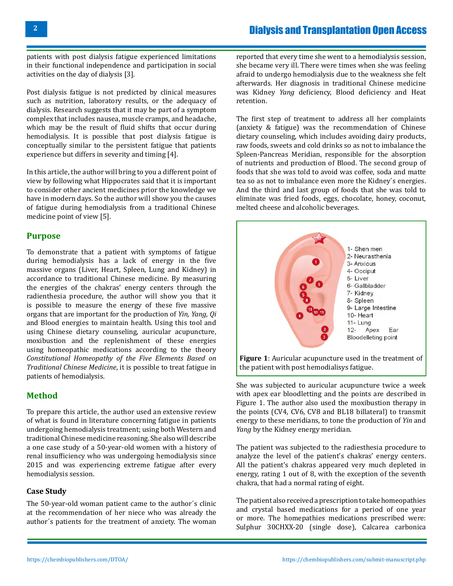patients with post dialysis fatigue experienced limitations in their functional independence and participation in social activities on the day of dialysis [3].

Post dialysis fatigue is not predicted by clinical measures such as nutrition, laboratory results, or the adequacy of dialysis. Research suggests that it may be part of a symptom complex that includes nausea, muscle cramps, and headache, which may be the result of fluid shifts that occur during hemodialysis. It is possible that post dialysis fatigue is conceptually similar to the persistent fatigue that patients experience but differs in severity and timing [4].

In this article, the author will bring to you a different point of view by following what Hippocrates said that it is important to consider other ancient medicines prior the knowledge we have in modern days. So the author will show you the causes of fatigue during hemodialysis from a traditional Chinese medicine point of view [5].

#### **Purpose**

To demonstrate that a patient with symptoms of fatigue during hemodialysis has a lack of energy in the five massive organs (Liver, Heart, Spleen, Lung and Kidney) in accordance to traditional Chinese medicine. By measuring the energies of the chakras' energy centers through the radienthesia procedure, the author will show you that it is possible to measure the energy of these five massive organs that are important for the production of *Yin, Yang, Qi* and Blood energies to maintain health. Using this tool and using Chinese dietary counseling, auricular acupuncture, moxibustion and the replenishment of these energies using homeopathic medications according to the theory *Constitutional Homeopathy of the Five Elements Based on Traditional Chinese Medicine*, it is possible to treat fatigue in patients of hemodialysis.

#### **Method**

To prepare this article, the author used an extensive review of what is found in literature concerning fatigue in patients undergoing hemodialysis treatment; using both Western and traditional Chinese medicine reasoning. She also will describe a one case study of a 50-year-old women with a history of renal insufficiency who was undergoing hemodialysis since 2015 and was experiencing extreme fatigue after every hemodialysis session.

#### **Case Study**

The 50-year-old woman patient came to the author´s clinic at the recommendation of her niece who was already the author´s patients for the treatment of anxiety. The woman

reported that every time she went to a hemodialysis session, she became very ill. There were times when she was feeling afraid to undergo hemodialysis due to the weakness she felt afterwards. Her diagnosis in traditional Chinese medicine was Kidney *Yang* deficiency, Blood deficiency and Heat retention.

The first step of treatment to address all her complaints (anxiety & fatigue) was the recommendation of Chinese dietary counseling, which includes avoiding dairy products, raw foods, sweets and cold drinks so as not to imbalance the Spleen-Pancreas Meridian, responsible for the absorption of nutrients and production of Blood. The second group of foods that she was told to avoid was coffee, soda and matte tea so as not to imbalance even more the Kidney´s energies. And the third and last group of foods that she was told to eliminate was fried foods, eggs, chocolate, honey, coconut, melted cheese and alcoholic beverages.



She was subjected to auricular acupuncture twice a week with apex ear bloodletting and the points are described in Figure 1. The author also used the moxibustion therapy in the points (CV4, CV6, CV8 and BL18 billateral) to transmit energy to these meridians, to tone the production of *Yin* and *Yang* by the Kidney energy meridian.

The patient was subjected to the radiesthesia procedure to analyze the level of the patient's chakras' energy centers. All the patient's chakras appeared very much depleted in energy, rating 1 out of 8, with the exception of the seventh chakra, that had a normal rating of eight.

The patient also received a prescription to take homeopathies and crystal based medications for a period of one year or more. The homepathies medications prescribed were: Sulphur 30CHXX-20 (single dose), Calcarea carbonica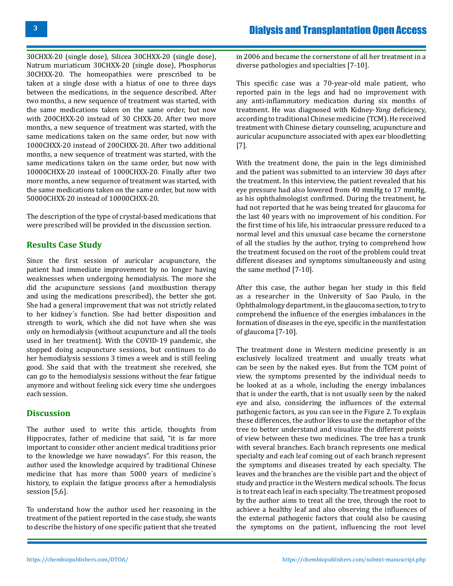30CHXX-20 (single dose), Silicea 30CHXX-20 (single dose), Natrum muriaticum 30CHXX-20 (single dose), Phosphorus 30CHXX-20. The homeopathies were prescribed to be taken at a single dose with a hiatus of one to three days between the medications, in the sequence described. After two months, a new sequence of treatment was started, with the same medications taken on the same order, but now with 200CHXX-20 instead of 30 CHXX-20. After two more months, a new sequence of treatment was started, with the same medications taken on the same order, but now with 1000CHXX-20 instead of 200CHXX-20. After two additional months, a new sequence of treatment was started, with the same medications taken on the same order, but now with 10000CHXX-20 instead of 1000CHXX-20. Finally after two more months, a new sequence of treatment was started, with the same medications taken on the same order, but now with 50000CHXX-20 instead of 10000CHXX-20.

The description of the type of crystal-based medications that were prescribed will be provided in the discussion section.

## **Results Case Study**

Since the first session of auricular acupuncture, the patient had immediate improvement by no longer having weaknesses when undergoing hemodialysis. The more she did the acupuncture sessions (and moxibustion therapy and using the medications prescribed), the better she got. She had a general improvement that was not strictly related to her kidney´s function. She had better disposition and strength to work, which she did not have when she was only on hemodialysis (without acupuncture and all the tools used in her treatment). With the COVID-19 pandemic, she stopped doing acupuncture sessions, but continues to do her hemodialysis sessions 3 times a week and is still feeling good. She said that with the treatment she received, she can go to the hemodialysis sessions without the fear fatigue anymore and without feeling sick every time she undergoes each session.

### **Discussion**

The author used to write this article, thoughts from Hippocrates, father of medicine that said, "it is far more important to consider other ancient medical traditions prior to the knowledge we have nowadays". For this reason, the author used the knowledge acquired by traditional Chinese medicine that has more than 5000 years of medicine´s history, to explain the fatigue process after a hemodialysis session [5,6].

To understand how the author used her reasoning in the treatment of the patient reported in the case study, she wants to describe the history of one specific patient that she treated in 2006 and became the cornerstone of all her treatment in a diverse pathologies and specialties [7-10].

This specific case was a 70-year-old male patient, who reported pain in the legs and had no improvement with any anti-inflammatory medication during six months of treatment. He was diagnosed with Kidney-*Yang* deficiency, according to traditional Chinese medicine (TCM). He received treatment with Chinese dietary counseling, acupuncture and auricular acupuncture associated with apex ear bloodletting [7].

With the treatment done, the pain in the legs diminished and the patient was submitted to an interview 30 days after the treatment. In this interview, the patient revealed that his eye pressure had also lowered from 40 mmHg to 17 mmHg, as his ophthalmologist confirmed. During the treatment, he had not reported that he was being treated for glaucoma for the last 40 years with no improvement of his condition. For the first time of his life, his intraocular pressure reduced to a normal level and this unusual case became the cornerstone of all the studies by the author, trying to comprehend how the treatment focused on the root of the problem could treat different diseases and symptoms simultaneously and using the same method [7-10].

After this case, the author began her study in this field as a researcher in the University of Sao Paulo, in the Ophthalmology department, in the glaucoma section, to try to comprehend the influence of the energies imbalances in the formation of diseases in the eye, specific in the manifestation of glaucoma [7-10].

The treatment done in Western medicine presently is an exclusively localized treatment and usually treats what can be seen by the naked eyes. But from the TCM point of view, the symptoms presented by the individual needs to be looked at as a whole, including the energy imbalances that is under the earth, that is not usually seen by the naked eye and also, considering the influences of the external pathogenic factors, as you can see in the Figure 2. To explain these differences, the author likes to use the metaphor of the tree to better understand and visualize the different points of view between these two medicines. The tree has a trunk with several branches. Each branch represents one medical specialty and each leaf coming out of each branch represent the symptoms and diseases treated by each specialty. The leaves and the branches are the visible part and the object of study and practice in the Western medical schools. The focus is to treat each leaf in each specialty. The treatment proposed by the author aims to treat all the tree, through the root to achieve a healthy leaf and also observing the influences of the external pathogenic factors that could also be causing the symptoms on the patient, influencing the root level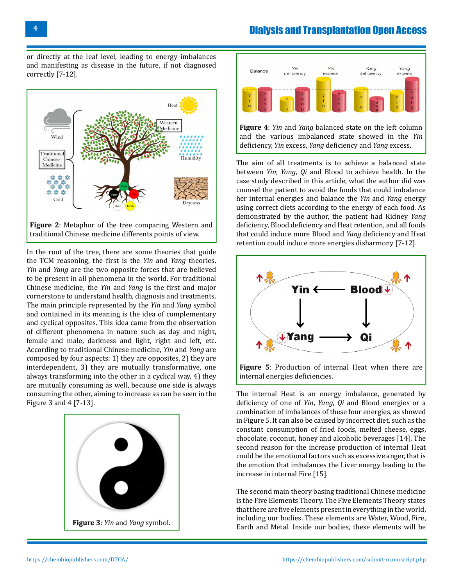or directly at the leaf level, leading to energy imbalances and manifesting as disease in the future, if not diagnosed correctly [7-12].



In the root of the tree, there are some theories that guide the TCM reasoning, the first is the *Yin* and *Yang* theories. *Yin* and *Yang* are the two opposite forces that are believed to be present in all phenomena in the world. For traditional Chinese medicine, the *Yin* and *Yang* is the first and major cornerstone to understand health, diagnosis and treatments. The main principle represented by the *Yin* and *Yang* symbol and contained in its meaning is the idea of complementary

and cyclical opposites. This idea came from the observation of different phenomena in nature such as day and night, female and male, darkness and light, right and left, etc. According to traditional Chinese medicine, *Yin* and *Yang* are composed by four aspects: 1) they are opposites, 2) they are interdependent, 3) they are mutually transformative, one always transforming into the other in a cyclical way, 4) they are mutually consuming as well, because one side is always consuming the other, aiming to increase as can be seen in the Figure 3 and 4 [7-13].





**Figure 4**: *Yin* and *Yang* balanced state on the left column and the various imbalanced state showed in the *Yin* deficiency, *Yin* excess, *Yang* deficiency and *Yang* excess.

The aim of all treatments is to achieve a balanced state between *Yin*, *Yang*, *Qi* and Blood to achieve health. In the case study described in this article, what the author did was counsel the patient to avoid the foods that could imbalance her internal energies and balance the *Yin* and *Yang* energy using correct diets according to the energy of each food. As demonstrated by the author, the patient had Kidney *Yang* deficiency, Blood deficiency and Heat retention, and all foods that could induce more Blood and *Yang* deficiency and Heat retention could induce more energies disharmony [7-12].



**Figure 5**: Production of internal Heat when there are internal energies deficiencies.

The internal Heat is an energy imbalance, generated by deficiency of one of *Yin*, *Yang*, *Qi* and Blood energies or a combination of imbalances of these four energies, as showed in Figure 5. It can also be caused by incorrect diet, such as the constant consumption of fried foods, melted cheese, eggs, chocolate, coconut, honey and alcoholic beverages [14]. The second reason for the increase production of internal Heat could be the emotional factors such as excessive anger, that is the emotion that imbalances the Liver energy leading to the increase in internal Fire [15].

The second main theory basing traditional Chinese medicine is the Five Elements Theory. The Five Elements Theory states that there are five elements present in everything in the world, including our bodies. These elements are Water, Wood, Fire, Earth and Metal. Inside our bodies, these elements will be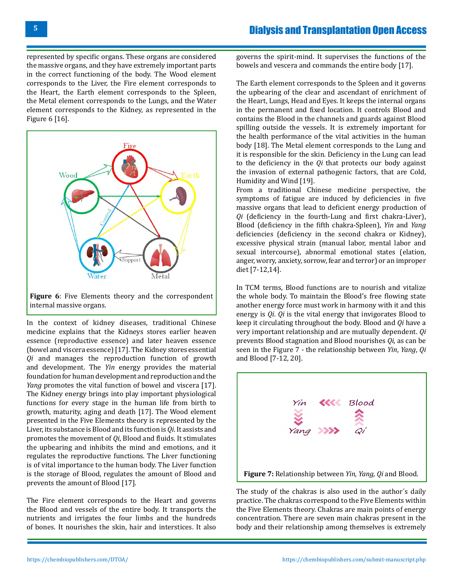represented by specific organs. These organs are considered the massive organs, and they have extremely important parts in the correct functioning of the body. The Wood element corresponds to the Liver, the Fire element corresponds to the Heart, the Earth element corresponds to the Spleen, the Metal element corresponds to the Lungs, and the Water element corresponds to the Kidney, as represented in the Figure 6 [16].



In the context of kidney diseases, traditional Chinese medicine explains that the Kidneys stores earlier heaven essence (reproductive essence) and later heaven essence (bowel and viscera essence) [17]. The Kidney stores essential *Qi* and manages the reproduction function of growth and development. The *Yin* energy provides the material foundation for human development and reproduction and the *Yang* promotes the vital function of bowel and viscera [17]. The Kidney energy brings into play important physiological functions for every stage in the human life from birth to growth, maturity, aging and death [17]. The Wood element presented in the Five Elements theory is represented by the Liver, its substance is Blood and its function is *Qi*. It assists and promotes the movement of *Qi*, Blood and fluids. It stimulates the upbearing and inhibits the mind and emotions, and it regulates the reproductive functions. The Liver functioning is of vital importance to the human body. The Liver function is the storage of Blood, regulates the amount of Blood and prevents the amount of Blood [17].

The Fire element corresponds to the Heart and governs the Blood and vessels of the entire body. It transports the nutrients and irrigates the four limbs and the hundreds of bones. It nourishes the skin, hair and interstices. It also

governs the spirit-mind. It supervises the functions of the bowels and vescera and commands the entire body [17].

The Earth element corresponds to the Spleen and it governs the upbearing of the clear and ascendant of enrichment of the Heart, Lungs, Head and Eyes. It keeps the internal organs in the permanent and fixed location. It controls Blood and contains the Blood in the channels and guards against Blood spilling outside the vessels. It is extremely important for the health performance of the vital activities in the human body [18]. The Metal element corresponds to the Lung and it is responsible for the skin. Deficiency in the Lung can lead to the deficiency in the *Qi* that protects our body against the invasion of external pathogenic factors, that are Cold, Humidity and Wind [19].

From a traditional Chinese medicine perspective, the symptoms of fatigue are induced by deficiencies in five massive organs that lead to deficient energy production of *Qi* (deficiency in the fourth-Lung and first chakra-Liver), Blood (deficiency in the fifth chakra-Spleen), *Yin* and *Yang* deficiencies (deficiency in the second chakra or Kidney), excessive physical strain (manual labor, mental labor and sexual intercourse), abnormal emotional states (elation, anger, worry, anxiety, sorrow, fear and terror) or an improper diet [7-12,14].

In TCM terms, Blood functions are to nourish and vitalize the whole body. To maintain the Blood's free flowing state another energy force must work in harmony with it and this energy is *Qi*. *Qi* is the vital energy that invigorates Blood to keep it circulating throughout the body. Blood and *Qi* have a very important relationship and are mutually dependent. *Qi* prevents Blood stagnation and Blood nourishes *Qi*, as can be seen in the Figure 7 - the relationship between *Yin*, *Yang*, *Qi* and Blood [7-12, 20].



The study of the chakras is also used in the author´s daily practice. The chakras correspond to the Five Elements within the Five Elements theory. Chakras are main points of energy concentration. There are seven main chakras present in the body and their relationship among themselves is extremely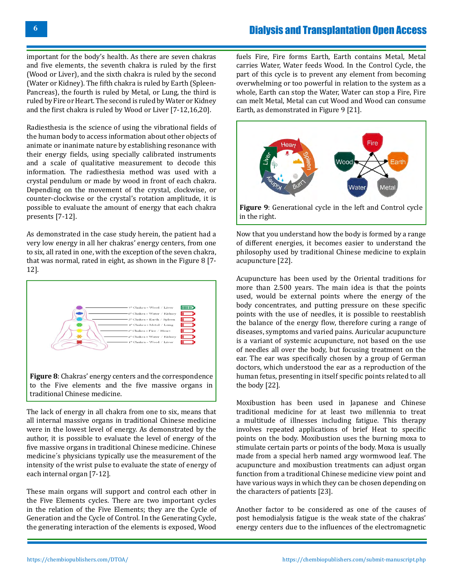important for the body's health. As there are seven chakras and five elements, the seventh chakra is ruled by the first (Wood or Liver), and the sixth chakra is ruled by the second (Water or Kidney). The fifth chakra is ruled by Earth (Spleen-Pancreas), the fourth is ruled by Metal, or Lung, the third is ruled by Fire or Heart. The second is ruled by Water or Kidney and the first chakra is ruled by Wood or Liver [7-12,16,20].

Radiesthesia is the science of using the vibrational fields of the human body to access information about other objects of animate or inanimate nature by establishing resonance with their energy fields, using specially calibrated instruments and a scale of qualitative measurement to decode this information. The radiesthesia method was used with a crystal pendulum or made by wood in front of each chakra. Depending on the movement of the crystal, clockwise, or counter-clockwise or the crystal's rotation amplitude, it is possible to evaluate the amount of energy that each chakra presents [7-12].

As demonstrated in the case study herein, the patient had a very low energy in all her chakras' energy centers, from one to six, all rated in one, with the exception of the seven chakra, that was normal, rated in eight, as shown in the Figure 8 [7- 12].



The lack of energy in all chakra from one to six, means that all internal massive organs in traditional Chinese medicine were in the lowest level of energy. As demonstrated by the author, it is possible to evaluate the level of energy of the

five massive organs in traditional Chinese medicine. Chinese medicine´s physicians typically use the measurement of the intensity of the wrist pulse to evaluate the state of energy of each internal organ [7-12].

These main organs will support and control each other in the Five Elements cycles. There are two important cycles in the relation of the Five Elements; they are the Cycle of Generation and the Cycle of Control. In the Generating Cycle, the generating interaction of the elements is exposed, Wood

fuels Fire, Fire forms Earth, Earth contains Metal, Metal carries Water, Water feeds Wood. In the Control Cycle, the part of this cycle is to prevent any element from becoming overwhelming or too powerful in relation to the system as a whole, Earth can stop the Water, Water can stop a Fire, Fire can melt Metal, Metal can cut Wood and Wood can consume Earth, as demonstrated in Figure 9 [21].



in the right.

Now that you understand how the body is formed by a range of different energies, it becomes easier to understand the philosophy used by traditional Chinese medicine to explain acupuncture [22].

Acupuncture has been used by the Oriental traditions for more than 2.500 years. The main idea is that the points used, would be external points where the energy of the body concentrates, and putting pressure on these specific points with the use of needles, it is possible to reestablish the balance of the energy flow, therefore curing a range of diseases, symptoms and varied pains. Auricular acupuncture is a variant of systemic acupuncture, not based on the use of needles all over the body, but focusing treatment on the ear. The ear was specifically chosen by a group of German doctors, which understood the ear as a reproduction of the human fetus, presenting in itself specific points related to all the body [22].

Moxibustion has been used in Japanese and Chinese traditional medicine for at least two millennia to treat a multitude of illnesses including fatigue. This therapy involves repeated applications of brief Heat to specific points on the body. Moxibustion uses the burning moxa to stimulate certain parts or points of the body. Moxa is usually made from a special herb named argy wormwood leaf. The acupuncture and moxibustion treatments can adjust organ function from a traditional Chinese medicine view point and have various ways in which they can be chosen depending on the characters of patients [23].

Another factor to be considered as one of the causes of post hemodialysis fatigue is the weak state of the chakras' energy centers due to the influences of the electromagnetic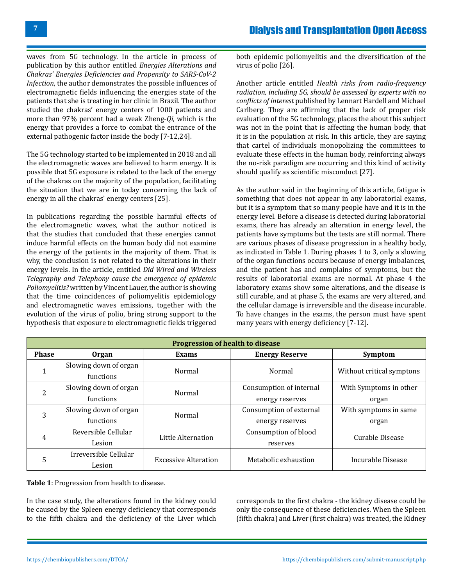waves from 5G technology. In the article in process of publication by this author entitled *Energies Alterations and Chakras' Energies Deficiencies and Propensity to SARS-CoV-2 Infection*, the author demonstrates the possible influences of electromagnetic fields influencing the energies state of the patients that she is treating in her clinic in Brazil. The author studied the chakras' energy centers of 1000 patients and more than 97% percent had a weak Zheng-*Qi*, which is the energy that provides a force to combat the entrance of the external pathogenic factor inside the body [7-12,24].

The 5G technology started to be implemented in 2018 and all the electromagnetic waves are believed to harm energy. It is possible that 5G exposure is related to the lack of the energy of the chakras on the majority of the population, facilitating the situation that we are in today concerning the lack of energy in all the chakras' energy centers [25].

In publications regarding the possible harmful effects of the electromagnetic waves, what the author noticed is that the studies that concluded that these energies cannot induce harmful effects on the human body did not examine the energy of the patients in the majority of them. That is why, the conclusion is not related to the alterations in their energy levels. In the article, entitled *Did Wired and Wireless Telegraphy and Telephony cause the emergence of epidemic Poliomyelitis?* written by Vincent Lauer, the author is showing that the time coincidences of poliomyelitis epidemiology and electromagnetic waves emissions, together with the evolution of the virus of polio, bring strong support to the hypothesis that exposure to electromagnetic fields triggered

both epidemic poliomyelitis and the diversification of the virus of polio [26].

Another article entitled *Health risks from radio-frequency radiation, including 5G, should be assessed by experts with no conflicts of interest* published by Lennart Hardell and Michael Carlberg. They are affirming that the lack of proper risk evaluation of the 5G technology, places the about this subject was not in the point that is affecting the human body, that it is in the population at risk. In this article, they are saying that cartel of individuals monopolizing the committees to evaluate these effects in the human body, reinforcing always the no-risk paradigm are occurring and this kind of activity should qualify as scientific misconduct [27].

As the author said in the beginning of this article, fatigue is something that does not appear in any laboratorial exams, but it is a symptom that so many people have and it is in the energy level. Before a disease is detected during laboratorial exams, there has already an alteration in energy level, the patients have symptoms but the tests are still normal. There are various phases of disease progression in a healthy body, as indicated in Table 1. During phases 1 to 3, only a slowing of the organ functions occurs because of energy imbalances, and the patient has and complains of symptoms, but the results of laboratorial exams are normal. At phase 4 the laboratory exams show some alterations, and the disease is still curable, and at phase 5, the exams are very altered, and the cellular damage is irreversible and the disease incurable. To have changes in the exams, the person must have spent many years with energy deficiency [7-12].

| <b>Progression of health to disease</b> |                                    |                             |                                            |                                 |  |  |
|-----------------------------------------|------------------------------------|-----------------------------|--------------------------------------------|---------------------------------|--|--|
| <b>Phase</b>                            | Organ                              | Exams                       | <b>Energy Reserve</b>                      | <b>Symptom</b>                  |  |  |
| T                                       | Slowing down of organ<br>functions | Normal                      | Normal                                     | Without critical symptons       |  |  |
| 2                                       | Slowing down of organ<br>functions | Normal                      | Consumption of internal<br>energy reserves | With Symptoms in other<br>organ |  |  |
| 3                                       | Slowing down of organ<br>functions | Normal                      | Consumption of external<br>energy reserves | With symptoms in same<br>organ  |  |  |
| 4                                       | Reversible Cellular<br>Lesion      | Little Alternation          | Consumption of blood<br>reserves           | Curable Disease                 |  |  |
| 5                                       | Irreversible Cellular<br>Lesion    | <b>Excessive Alteration</b> | Metabolic exhaustion                       | Incurable Disease               |  |  |

**Table 1**: Progression from health to disease.

In the case study, the alterations found in the kidney could be caused by the Spleen energy deficiency that corresponds to the fifth chakra and the deficiency of the Liver which

corresponds to the first chakra - the kidney disease could be only the consequence of these deficiencies. When the Spleen (fifth chakra) and Liver (first chakra) was treated, the Kidney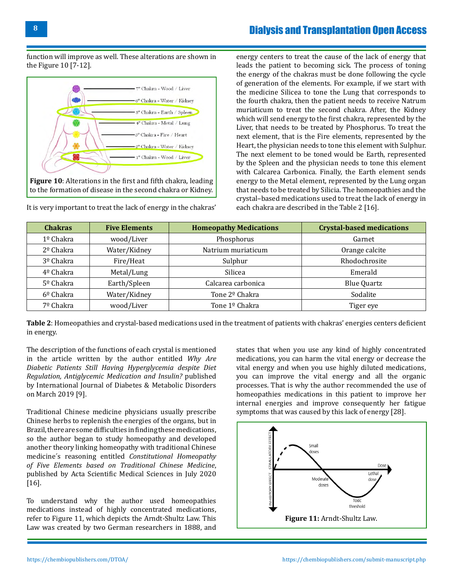function will improve as well. These alterations are shown in the Figure 10 [7-12].



It is very important to treat the lack of energy in the chakras'

energy centers to treat the cause of the lack of energy that leads the patient to becoming sick. The process of toning the energy of the chakras must be done following the cycle of generation of the elements. For example, if we start with the medicine Silicea to tone the Lung that corresponds to the fourth chakra, then the patient needs to receive Natrum muriaticum to treat the second chakra. After, the Kidney which will send energy to the first chakra, represented by the Liver, that needs to be treated by Phosphorus. To treat the next element, that is the Fire elements, represented by the Heart, the physician needs to tone this element with Sulphur. The next element to be toned would be Earth, represented by the Spleen and the physician needs to tone this element with Calcarea Carbonica. Finally, the Earth element sends energy to the Metal element, represented by the Lung organ that needs to be treated by Silicia. The homeopathies and the crystal–based medications used to treat the lack of energy in each chakra are described in the Table 2 [16].

| <b>Chakras</b>        | <b>Five Elements</b> | <b>Homeopathy Medications</b> | <b>Crystal-based medications</b> |
|-----------------------|----------------------|-------------------------------|----------------------------------|
| $1^{\circ}$ Chakra    | wood/Liver           | Phosphorus                    | Garnet                           |
| $2^{\circ}$ Chakra    | Water/Kidney         | Natrium muriaticum            | Orange calcite                   |
| $3°$ Chakra           | Fire/Heat            | Sulphur                       | Rhodochrosite                    |
| 4º Chakra             | Metal/Lung           | Silicea                       | Emerald                          |
| 5 <sup>o</sup> Chakra | Earth/Spleen         | Calcarea carbonica            | <b>Blue Quartz</b>               |
| $6^{\circ}$ Chakra    | Water/Kidney         | Tone 2 <sup>o</sup> Chakra    | Sodalite                         |
| 7º Chakra             | wood/Liver           | Tone 1º Chakra                | Tiger eye                        |

**Table 2**: Homeopathies and crystal-based medications used in the treatment of patients with chakras' energies centers deficient in energy.

The description of the functions of each crystal is mentioned in the article written by the author entitled *Why Are Diabetic Patients Still Having Hyperglycemia despite Diet Regulation, Antiglycemic Medication and Insulin?* published by International Journal of Diabetes & Metabolic Disorders on March 2019 [9].

Traditional Chinese medicine physicians usually prescribe Chinese herbs to replenish the energies of the organs, but in Brazil, there are some difficulties in finding these medications, so the author began to study homeopathy and developed another theory linking homeopathy with traditional Chinese medicine´s reasoning entitled *Constitutional Homeopathy of Five Elements based on Traditional Chinese Medicine*, published by Acta Scientific Medical Sciences in July 2020 [16].

To understand why the author used homeopathies medications instead of highly concentrated medications, refer to Figure 11, which depicts the Arndt-Shultz Law. This Law was created by two German researchers in 1888, and

states that when you use any kind of highly concentrated medications, you can harm the vital energy or decrease the vital energy and when you use highly diluted medications, you can improve the vital energy and all the organic processes. That is why the author recommended the use of homeopathies medications in this patient to improve her internal energies and improve consequently her fatigue symptoms that was caused by this lack of energy [28].

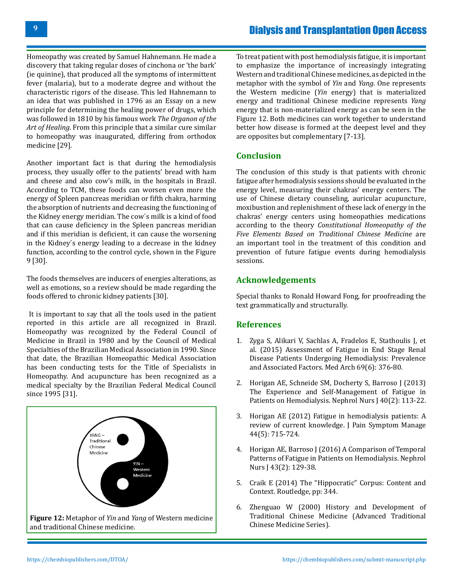Homeopathy was created by Samuel Hahnemann. He made a discovery that taking regular doses of cinchona or 'the bark' (ie quinine), that produced all the symptoms of intermittent fever (malaria), but to a moderate degree and without the characteristic rigors of the disease. This led Hahnemann to an idea that was published in 1796 as an Essay on a new principle for determining the healing power of drugs, which was followed in 1810 by his famous work *The Organon of the Art of Healing*. From this principle that a similar cure similar to homeopathy was inaugurated, differing from orthodox medicine [29].

Another important fact is that during the hemodialysis process, they usually offer to the patients' bread with ham and cheese and also cow's milk, in the hospitals in Brazil. According to TCM, these foods can worsen even more the energy of Spleen pancreas meridian or fifth chakra, harming the absorption of nutrients and decreasing the functioning of the Kidney energy meridian. The cow´s milk is a kind of food that can cause deficiency in the Spleen pancreas meridian and if this meridian is deficient, it can cause the worsening in the Kidney´s energy leading to a decrease in the kidney function, according to the control cycle, shown in the Figure 9 [30].

The foods themselves are inducers of energies alterations, as well as emotions, so a review should be made regarding the foods offered to chronic kidney patients [30].

 It is important to say that all the tools used in the patient reported in this article are all recognized in Brazil. Homeopathy was recognized by the Federal Council of Medicine in Brazil in 1980 and by the Council of Medical Specialties of the Brazilian Medical Association in 1990. Since that date, the Brazilian Homeopathic Medical Association has been conducting tests for the Title of Specialists in Homeopathy. And acupuncture has been recognized as a medical specialty by the Brazilian Federal Medical Council since 1995 [31].



To treat patient with post hemodialysis fatigue, it is important to emphasize the importance of increasingly integrating Western and traditional Chinese medicines, as depicted in the metaphor with the symbol of *Yin* and *Yang*. One represents the Western medicine (*Yin* energy) that is materialized energy and traditional Chinese medicine represents *Yang* energy that is non-materialized energy as can be seen in the Figure 12. Both medicines can work together to understand better how disease is formed at the deepest level and they are opposites but complementary [7-13].

#### **Conclusion**

The conclusion of this study is that patients with chronic fatigue after hemodialysis sessions should be evaluated in the energy level, measuring their chakras' energy centers. The use of Chinese dietary counseling, auricular acupuncture, moxibustion and replenishment of these lack of energy in the chakras' energy centers using homeopathies medications according to the theory *Constitutional Homeopathy of the Five Elements Based on Traditional Chinese Medicine* are an important tool in the treatment of this condition and prevention of future fatigue events during hemodialysis sessions.

#### **Acknowledgements**

Special thanks to Ronald Howard Fong, for proofreading the text grammatically and structurally.

#### **References**

- 1. [Zyga S, Alikari V, Sachlas A, Fradelos E, Stathoulis J, et](https://pubmed.ncbi.nlm.nih.gov/26843728/)  [al. \(2015\) Assessment of Fatigue in End Stage Renal](https://pubmed.ncbi.nlm.nih.gov/26843728/)  [Disease Patients Undergoing Hemodialysis: Prevalence](https://pubmed.ncbi.nlm.nih.gov/26843728/)  [and Associated Factors. Med Arch 69\(6\): 376-80.](https://pubmed.ncbi.nlm.nih.gov/26843728/)
- 2. [Horigan AE, Schneide SM, Docherty S, Barroso J \(2013\)](https://pubmed.ncbi.nlm.nih.gov/23767335/) [The Experience and Self-Management of Fatigue in](https://pubmed.ncbi.nlm.nih.gov/23767335/)  [Patients on Hemodialysis. Nephrol Nurs J 40\(2\): 113-22.](https://pubmed.ncbi.nlm.nih.gov/23767335/)
- 3. [Horigan AE \(2012\) Fatigue in hemodialysis patients: A](https://pubmed.ncbi.nlm.nih.gov/22743156/)  [review of current knowledge. J Pain Symptom Manage](https://pubmed.ncbi.nlm.nih.gov/22743156/)  [44\(5\): 715-724.](https://pubmed.ncbi.nlm.nih.gov/22743156/)
- 4. [Horigan AE, Barroso J \(2016\) A Comparison of Temporal](https://pubmed.ncbi.nlm.nih.gov/27254968/)  [Patterns of Fatigue in Patients on Hemodialysis. Nephrol](https://pubmed.ncbi.nlm.nih.gov/27254968/)  [Nurs J 43\(2\): 129-38.](https://pubmed.ncbi.nlm.nih.gov/27254968/)
- 5. [Craik E \(2014\) The "Hippocratic" Corpus: Content and](https://www.routledge.com/The-Hippocratic-Corpus-Content-and-Context/Craik/p/book/9781138021716)  [Context. Routledge, pp: 344.](https://www.routledge.com/The-Hippocratic-Corpus-Content-and-Context/Craik/p/book/9781138021716)
- 6. Zhenguao W (2000) History and Development of Traditional Chinese Medicine (Advanced Traditional Chinese Medicine Series).